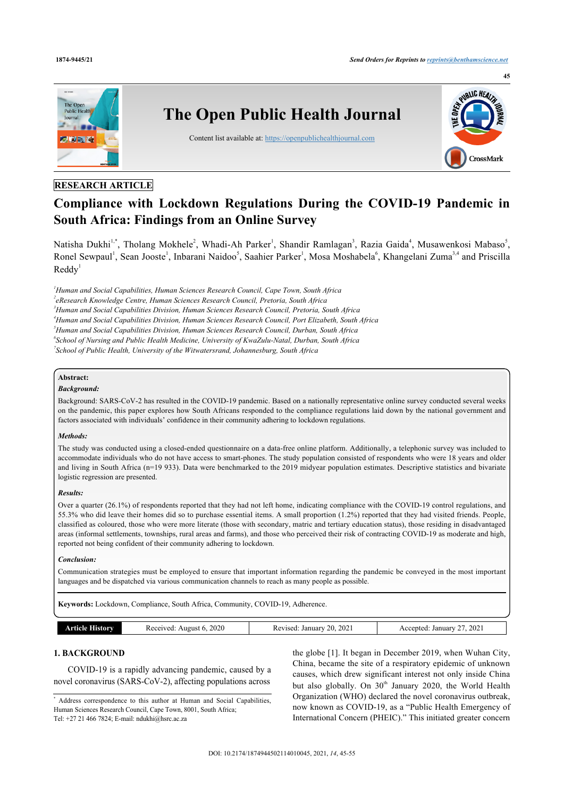

# **RESEARCH ARTICLE**

# **Compliance with Lockdown Regulations During the COVID-19 Pandemic in South Africa: Findings from an Online Survey**

Natisha Dukhi<sup>[1,](#page-0-0)[\\*](#page-0-1)</sup>, Tholang Mokhele<sup>[2](#page-0-2)</sup>, Whadi-Ah Parker<sup>[1](#page-0-0)</sup>, Shandir Ramlagan<sup>[3](#page-0-3)</sup>, Razia Gaida<sup>[4](#page-0-4)</sup>, Musawenkosi Mabaso<sup>[5](#page-0-5)</sup>, Ronel Sewpaul<sup>[1](#page-0-0)</sup>, Sean Jooste<sup>1</sup>, Inbarani Naidoo<sup>[5](#page-0-5)</sup>, Saahier Parker<sup>1</sup>, Mosa Moshabela<sup>[6](#page-0-6)</sup>, Khangelani Zuma<sup>[3,](#page-0-3)[4](#page-0-5)</sup> and Priscilla  $Reddy<sup>1</sup>$  $Reddy<sup>1</sup>$  $Reddy<sup>1</sup>$ 

<span id="page-0-5"></span><span id="page-0-4"></span><span id="page-0-3"></span><span id="page-0-2"></span><span id="page-0-0"></span>*Human and Social Capabilities, Human Sciences Research Council, Cape Town, South Africa eResearch Knowledge Centre, Human Sciences Research Council, Pretoria, South Africa Human and Social Capabilities Division, Human Sciences Research Council, Pretoria, South Africa Human and Social Capabilities Division, Human Sciences Research Council, Port Elizabeth, South Africa Human and Social Capabilities Division, Human Sciences Research Council, Durban, South Africa School of Nursing and Public Health Medicine, University of KwaZulu-Natal, Durban, South Africa School of Public Health, University of the Witwatersrand, Johannesburg, South Africa*

# <span id="page-0-6"></span>**Abstract:**

# *Background:*

Background: SARS-CoV-2 has resulted in the COVID-19 pandemic. Based on a nationally representative online survey conducted several weeks on the pandemic, this paper explores how South Africans responded to the compliance regulations laid down by the national government and factors associated with individuals' confidence in their community adhering to lockdown regulations.

#### *Methods:*

The study was conducted using a closed-ended questionnaire on a data-free online platform. Additionally, a telephonic survey was included to accommodate individuals who do not have access to smart-phones. The study population consisted of respondents who were 18 years and older and living in South Africa (n=19 933). Data were benchmarked to the 2019 midyear population estimates. Descriptive statistics and bivariate logistic regression are presented.

### *Results:*

Over a quarter (26.1%) of respondents reported that they had not left home, indicating compliance with the COVID-19 control regulations, and 55.3% who did leave their homes did so to purchase essential items. A small proportion (1.2%) reported that they had visited friends. People, classified as coloured, those who were more literate (those with secondary, matric and tertiary education status), those residing in disadvantaged areas (informal settlements, townships, rural areas and farms), and those who perceived their risk of contracting COVID-19 as moderate and high, reported not being confident of their community adhering to lockdown.

#### *Conclusion:*

Communication strategies must be employed to ensure that important information regarding the pandemic be conveyed in the most important languages and be dispatched via various communication channels to reach as many people as possible.

**Keywords:** Lockdown, Compliance, South Africa, Community, COVID-19, Adherence.

| orv<br>. מוחדי | 2020<br>Receivea.<br>August 6 | 202<br>20<br>January<br>Revised | 2021<br>January<br>ented<br>`` |
|----------------|-------------------------------|---------------------------------|--------------------------------|

# **1. BACKGROUND**

COVID-19 is a rapidly advancing pandemic, caused by a novel coronavirus (SARS-CoV-2), affecting populations across

<span id="page-0-1"></span>\* Address correspondence to this author at Human and Social Capabilities, Human Sciences Research Council, Cape Town, 8001, South Africa; Tel: +27 21 466 7824; E-mail: [ndukhi@hsrc.ac.za](mailto:ndukhi@hsrc.ac.za)

the globe [\[1\]](#page-9-0). It began in December 2019, when Wuhan City, China, became the site of a respiratory epidemic of unknown causes, which drew significant interest not only inside China but also globally. On  $30<sup>th</sup>$  January 2020, the World Health Organization (WHO) declared the novel coronavirus outbreak, now known as COVID-19, as a "Public Health Emergency of International Concern (PHEIC)." This initiated greater concern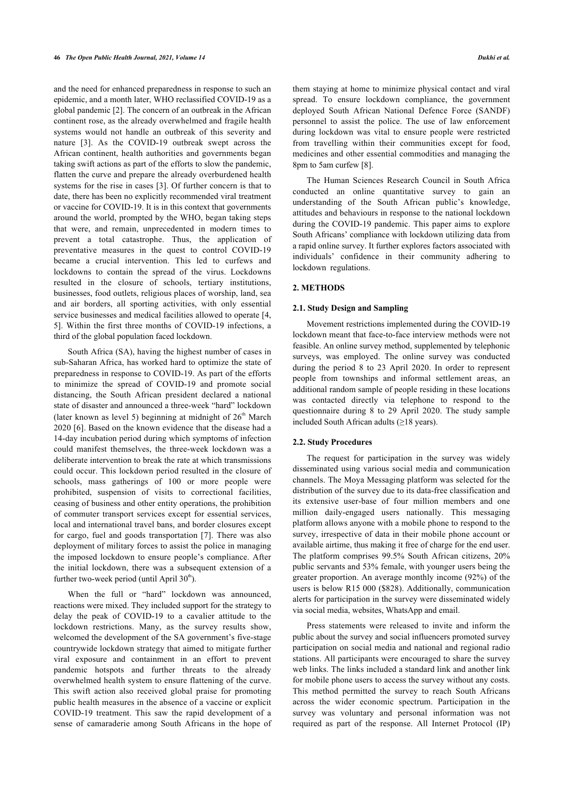and the need for enhanced preparedness in response to such an epidemic, and a month later, WHO reclassified COVID-19 as a global pandemic [\[2\]](#page-9-1). The concern of an outbreak in the African continent rose, as the already overwhelmed and fragile health systems would not handle an outbreak of this severity and nature [\[3\]](#page-9-2). As the COVID-19 outbreak swept across the African continent, health authorities and governments began taking swift actions as part of the efforts to slow the pandemic, flatten the curve and prepare the already overburdened health systems for the rise in cases [[3\]](#page-9-2). Of further concern is that to date, there has been no explicitly recommended viral treatment or vaccine for COVID-19. It is in this context that governments around the world, prompted by the WHO, began taking steps that were, and remain, unprecedented in modern times to prevent a total catastrophe. Thus, the application of preventative measures in the quest to control COVID-19 became a crucial intervention. This led to curfews and lockdowns to contain the spread of the virus. Lockdowns resulted in the closure of schools, tertiary institutions, businesses, food outlets, religious places of worship, land, sea and air borders, all sporting activities, with only essential service businesses and medical facilities allowed to operate [[4](#page-9-3), [5](#page-9-4)]. Within the first three months of COVID-19 infections, a third of the global population faced lockdown.

South Africa (SA), having the highest number of cases in sub-Saharan Africa, has worked hard to optimize the state of preparedness in response to COVID-19. As part of the efforts to minimize the spread of COVID-19 and promote social distancing, the South African president declared a national state of disaster and announced a three-week "hard" lockdown (later known as level 5) beginning at midnight of  $26<sup>th</sup>$  March 2020 [[6](#page-9-5)]. Based on the known evidence that the disease had a 14-day incubation period during which symptoms of infection could manifest themselves, the three-week lockdown was a deliberate intervention to break the rate at which transmissions could occur. This lockdown period resulted in the closure of schools, mass gatherings of 100 or more people were prohibited, suspension of visits to correctional facilities, ceasing of business and other entity operations, the prohibition of commuter transport services except for essential services, local and international travel bans, and border closures except for cargo, fuel and goods transportation [\[7\]](#page-9-6). There was also deployment of military forces to assist the police in managing the imposed lockdown to ensure people's compliance. After the initial lockdown, there was a subsequent extension of a further two-week period (until April  $30<sup>th</sup>$ ).

When the full or "hard" lockdown was announced, reactions were mixed. They included support for the strategy to delay the peak of COVID-19 to a cavalier attitude to the lockdown restrictions. Many, as the survey results show, welcomed the development of the SA government's five-stage countrywide lockdown strategy that aimed to mitigate further viral exposure and containment in an effort to prevent pandemic hotspots and further threats to the already overwhelmed health system to ensure flattening of the curve. This swift action also received global praise for promoting public health measures in the absence of a vaccine or explicit COVID-19 treatment. This saw the rapid development of a sense of camaraderie among South Africans in the hope of them staying at home to minimize physical contact and viral spread. To ensure lockdown compliance, the government deployed South African National Defence Force (SANDF) personnel to assist the police. The use of law enforcement during lockdown was vital to ensure people were restricted from travelling within their communities except for food, medicines and other essential commodities and managing the 8pm to 5am curfew [\[8\]](#page-9-7).

The Human Sciences Research Council in South Africa conducted an online quantitative survey to gain an understanding of the South African public's knowledge, attitudes and behaviours in response to the national lockdown during the COVID-19 pandemic. This paper aims to explore South Africans' compliance with lockdown utilizing data from a rapid online survey. It further explores factors associated with individuals' confidence in their community adhering to lockdown regulations.

### **2. METHODS**

# **2.1. Study Design and Sampling**

Movement restrictions implemented during the COVID-19 lockdown meant that face-to-face interview methods were not feasible. An online survey method, supplemented by telephonic surveys, was employed. The online survey was conducted during the period 8 to 23 April 2020. In order to represent people from townships and informal settlement areas, an additional random sample of people residing in these locations was contacted directly via telephone to respond to the questionnaire during 8 to 29 April 2020. The study sample included South African adults  $(\geq 18 \text{ years})$ .

## **2.2. Study Procedures**

The request for participation in the survey was widely disseminated using various social media and communication channels. The Moya Messaging platform was selected for the distribution of the survey due to its data-free classification and its extensive user-base of four million members and one million daily-engaged users nationally. This messaging platform allows anyone with a mobile phone to respond to the survey, irrespective of data in their mobile phone account or available airtime, thus making it free of charge for the end user. The platform comprises 99.5% South African citizens, 20% public servants and 53% female, with younger users being the greater proportion. An average monthly income (92%) of the users is below R15 000 (\$828). Additionally, communication alerts for participation in the survey were disseminated widely via social media, websites, WhatsApp and email.

Press statements were released to invite and inform the public about the survey and social influencers promoted survey participation on social media and national and regional radio stations. All participants were encouraged to share the survey web links. The links included a standard link and another link for mobile phone users to access the survey without any costs. This method permitted the survey to reach South Africans across the wider economic spectrum. Participation in the survey was voluntary and personal information was not required as part of the response. All Internet Protocol (IP)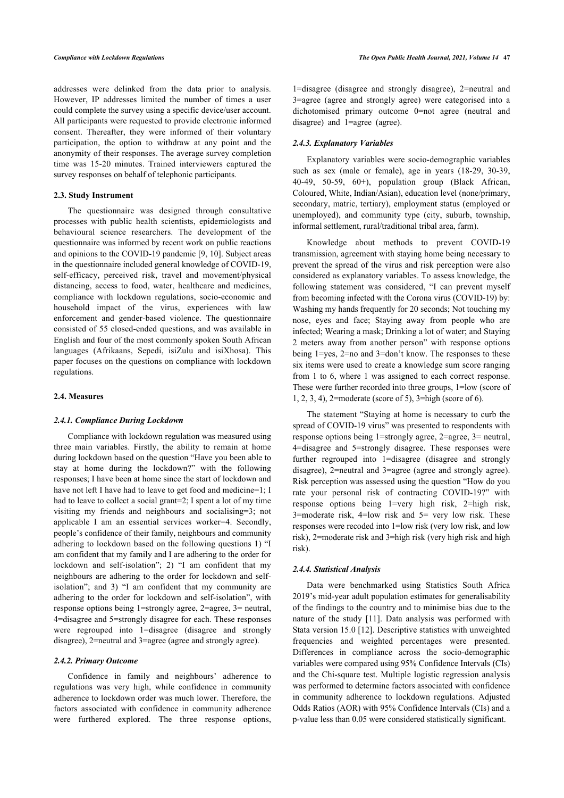addresses were delinked from the data prior to analysis. However, IP addresses limited the number of times a user could complete the survey using a specific device/user account. All participants were requested to provide electronic informed consent. Thereafter, they were informed of their voluntary participation, the option to withdraw at any point and the anonymity of their responses. The average survey completion time was 15-20 minutes. Trained interviewers captured the survey responses on behalf of telephonic participants.

#### **2.3. Study Instrument**

The questionnaire was designed through consultative processes with public health scientists, epidemiologists and behavioural science researchers. The development of the questionnaire was informed by recent work on public reactions and opinions to the COVID-19 pandemic [\[9,](#page-9-8) [10](#page-9-9)]. Subject areas in the questionnaire included general knowledge of COVID-19, self-efficacy, perceived risk, travel and movement/physical distancing, access to food, water, healthcare and medicines, compliance with lockdown regulations, socio-economic and household impact of the virus, experiences with law enforcement and gender-based violence. The questionnaire consisted of 55 closed-ended questions, and was available in English and four of the most commonly spoken South African languages (Afrikaans, Sepedi, isiZulu and isiXhosa). This paper focuses on the questions on compliance with lockdown regulations.

#### **2.4. Measures**

### *2.4.1. Compliance During Lockdown*

Compliance with lockdown regulation was measured using three main variables. Firstly, the ability to remain at home during lockdown based on the question "Have you been able to stay at home during the lockdown?" with the following responses; I have been at home since the start of lockdown and have not left I have had to leave to get food and medicine=1; I had to leave to collect a social grant=2; I spent a lot of my time visiting my friends and neighbours and socialising=3; not applicable I am an essential services worker=4. Secondly, people's confidence of their family, neighbours and community adhering to lockdown based on the following questions 1) "I am confident that my family and I are adhering to the order for lockdown and self-isolation"; 2) "I am confident that my neighbours are adhering to the order for lockdown and selfisolation"; and 3) "I am confident that my community are adhering to the order for lockdown and self-isolation", with response options being 1=strongly agree, 2=agree, 3= neutral, 4=disagree and 5=strongly disagree for each. These responses were regrouped into 1=disagree (disagree and strongly disagree), 2=neutral and 3=agree (agree and strongly agree).

#### *2.4.2. Primary Outcome*

Confidence in family and neighbours' adherence to regulations was very high, while confidence in community adherence to lockdown order was much lower. Therefore, the factors associated with confidence in community adherence were furthered explored. The three response options,

1=disagree (disagree and strongly disagree), 2=neutral and 3=agree (agree and strongly agree) were categorised into a dichotomised primary outcome 0=not agree (neutral and disagree) and 1=agree (agree).

# *2.4.3. Explanatory Variables*

Explanatory variables were socio-demographic variables such as sex (male or female), age in years (18-29, 30-39, 40-49, 50-59, 60+), population group (Black African, Coloured, White, Indian/Asian), education level (none/primary, secondary, matric, tertiary), employment status (employed or unemployed), and community type (city, suburb, township, informal settlement, rural/traditional tribal area, farm).

Knowledge about methods to prevent COVID-19 transmission, agreement with staying home being necessary to prevent the spread of the virus and risk perception were also considered as explanatory variables. To assess knowledge, the following statement was considered, "I can prevent myself from becoming infected with the Corona virus (COVID-19) by: Washing my hands frequently for 20 seconds; Not touching my nose, eyes and face; Staying away from people who are infected; Wearing a mask; Drinking a lot of water; and Staying 2 meters away from another person" with response options being 1=yes, 2=no and 3=don't know. The responses to these six items were used to create a knowledge sum score ranging from 1 to 6, where 1 was assigned to each correct response. These were further recorded into three groups, 1=low (score of 1, 2, 3, 4), 2=moderate (score of 5), 3=high (score of 6).

The statement "Staying at home is necessary to curb the spread of COVID-19 virus" was presented to respondents with response options being 1=strongly agree, 2=agree, 3= neutral, 4=disagree and 5=strongly disagree. These responses were further regrouped into 1=disagree (disagree and strongly disagree), 2=neutral and 3=agree (agree and strongly agree). Risk perception was assessed using the question "How do you rate your personal risk of contracting COVID-19?" with response options being 1=very high risk, 2=high risk, 3=moderate risk, 4=low risk and 5= very low risk. These responses were recoded into 1=low risk (very low risk, and low risk), 2=moderate risk and 3=high risk (very high risk and high risk).

# *2.4.4. Statistical Analysis*

Data were benchmarked using Statistics South Africa 2019's mid-year adult population estimates for generalisability of the findings to the country and to minimise bias due to the nature of the study[[11](#page-9-10)]. Data analysis was performed with Stata version 15.0 [[12](#page-9-11)]. Descriptive statistics with unweighted frequencies and weighted percentages were presented. Differences in compliance across the socio-demographic variables were compared using 95% Confidence Intervals (CIs) and the Chi-square test. Multiple logistic regression analysis was performed to determine factors associated with confidence in community adherence to lockdown regulations. Adjusted Odds Ratios (AOR) with 95% Confidence Intervals (CIs) and a p-value less than 0.05 were considered statistically significant.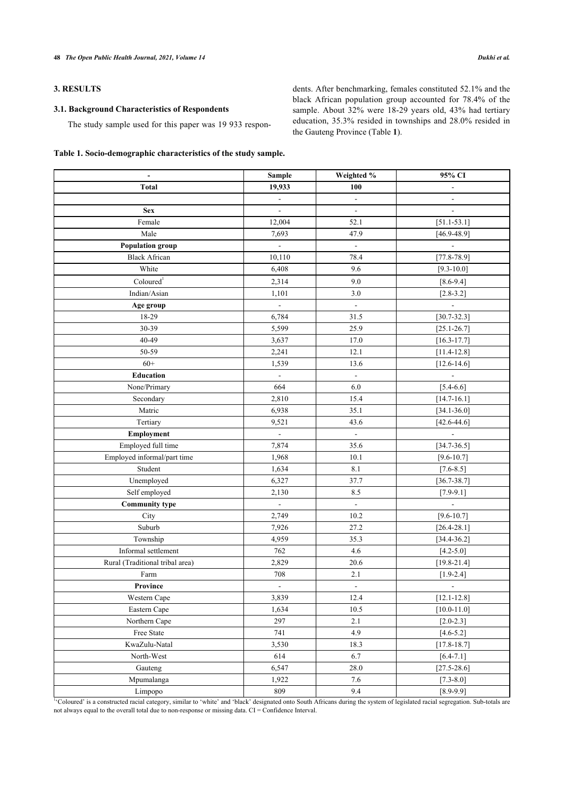# **3. RESULTS**

# **3.1. Background Characteristics of Respondents**

The study sample used for this paper was 19 933 respon-

dents. After benchmarking, females constituted 52.1% and the black African population group accounted for 78.4% of the sample. About 32% were 18-29 years old, 43% had tertiary education, 35.3% resided in townships and 28.0% resided in the Gauteng Province (Table **[1](#page-3-0)**).

# <span id="page-3-0"></span>**Table 1. Socio-demographic characteristics of the study sample.**

| $\overline{\phantom{a}}$        | <b>Sample</b>       | Weighted %               | 95% CI                   |
|---------------------------------|---------------------|--------------------------|--------------------------|
| Total                           | 19,933              | 100                      | $\overline{\phantom{a}}$ |
|                                 | $\blacksquare$      | $\overline{\phantom{a}}$ | $\overline{\phantom{a}}$ |
| <b>Sex</b>                      | ۰                   | $\overline{\phantom{a}}$ | $\overline{\phantom{a}}$ |
| Female                          | 12,004              | 52.1                     | $[51.1 - 53.1]$          |
| Male                            | 7,693               | 47.9                     | $[46.9 - 48.9]$          |
| <b>Population group</b>         | $\bar{\phantom{a}}$ | $\blacksquare$           | $\Box$                   |
| <b>Black African</b>            | 10,110              | 78.4                     | $[77.8 - 78.9]$          |
| White                           | 6,408               | 9.6                      | $[9.3 - 10.0]$           |
| Coloured <sup>1</sup>           | 2,314               | 9.0                      | $[8.6 - 9.4]$            |
| Indian/Asian                    | 1,101               | $3.0$                    | $[2.8 - 3.2]$            |
| Age group                       | $\Box$              | $\blacksquare$           | $\blacksquare$           |
| 18-29                           | 6,784               | 31.5                     | $[30.7 - 32.3]$          |
| 30-39                           | 5,599               | 25.9                     | $[25.1 - 26.7]$          |
| 40-49                           | 3,637               | 17.0                     | $[16.3 - 17.7]$          |
| 50-59                           | 2,241               | 12.1                     | $[11.4 - 12.8]$          |
| $60+$                           | 1,539               | 13.6                     | $[12.6 - 14.6]$          |
| <b>Education</b>                | $\blacksquare$      | $\overline{\phantom{a}}$ | $\overline{\phantom{a}}$ |
| None/Primary                    | 664                 | 6.0                      | $[5.4 - 6.6]$            |
| Secondary                       | 2,810               | 15.4                     | $[14.7 - 16.1]$          |
| Matric                          | 6,938               | 35.1                     | $[34.1 - 36.0]$          |
| Tertiary                        | 9,521               | 43.6                     | $[42.6 - 44.6]$          |
| Employment                      | $\Box$              | $\Box$                   | $\overline{\phantom{a}}$ |
| Employed full time              | 7,874               | 35.6                     | $[34.7 - 36.5]$          |
| Employed informal/part time     | 1,968               | 10.1                     | $[9.6 - 10.7]$           |
| Student                         | 1,634               | 8.1                      | $[7.6 - 8.5]$            |
| Unemployed                      | 6,327               | 37.7                     | $[36.7 - 38.7]$          |
| Self employed                   | 2,130               | 8.5                      | $[7.9 - 9.1]$            |
| <b>Community type</b>           | $\Box$              | $\overline{\phantom{a}}$ | $\blacksquare$           |
| City                            | 2,749               | 10.2                     | $[9.6 - 10.7]$           |
| Suburb                          | 7,926               | 27.2                     | $[26.4 - 28.1]$          |
| Township                        | 4,959               | 35.3                     | $[34.4 - 36.2]$          |
| Informal settlement             | 762                 | $4.6\,$                  | $[4.2 - 5.0]$            |
| Rural (Traditional tribal area) | 2,829               | 20.6                     | $[19.8 - 21.4]$          |
| Farm                            | 708                 | 2.1                      | $[1.9 - 2.4]$            |
| Province                        | $\blacksquare$      | $\overline{\phantom{a}}$ | $\overline{\phantom{a}}$ |
| Western Cape                    | 3,839               | 12.4                     | $[12.1 - 12.8]$          |
| Eastern Cape                    | 1,634               | 10.5                     | $[10.0 - 11.0]$          |
| Northern Cape                   | 297                 | 2.1                      | $[2.0 - 2.3]$            |
| Free State                      | 741                 | 4.9                      | $[4.6 - 5.2]$            |
| KwaZulu-Natal                   | 3,530               | 18.3                     | $[17.8 - 18.7]$          |
| North-West                      | 614                 | 6.7                      | $[6.4 - 7.1]$            |
| Gauteng                         | 6,547               | 28.0                     | $[27.5 - 28.6]$          |
| Mpumalanga                      | 1,922               | 7.6                      | $[7.3 - 8.0]$            |
| Limpopo                         | 809                 | 9.4                      | $[8.9 - 9.9]$            |

<sup>1</sup>Coloured' is a constructed racial category, similar to 'white' and 'black' designated onto South Africans during the system of legislated racial segregation. Sub-totals are not always equal to the overall total due to non-response or missing data. CI = Confidence Interval.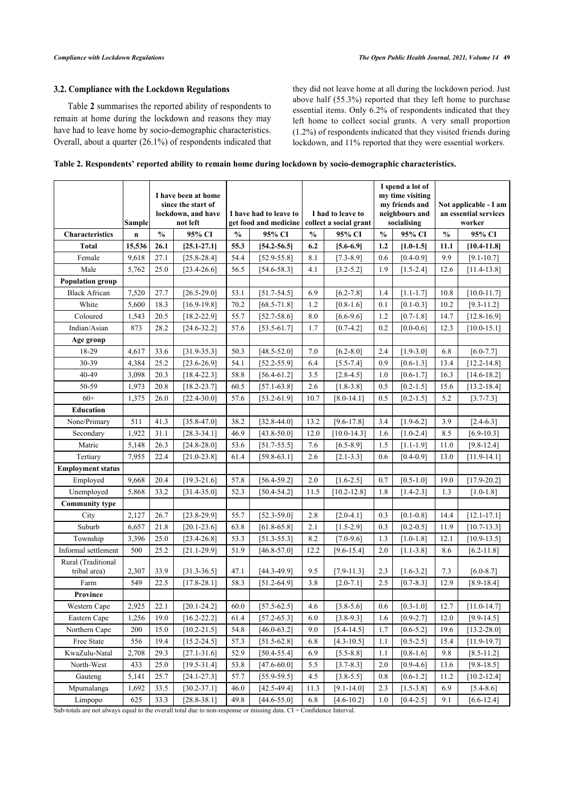# **3.2. Compliance with the Lockdown Regulations**

Table **[2](#page-4-0)** summarises the reported ability of respondents to remain at home during the lockdown and reasons they may have had to leave home by socio-demographic characteristics. Overall, about a quarter (26.1%) of respondents indicated that they did not leave home at all during the lockdown period. Just above half (55.3%) reported that they left home to purchase essential items. Only 6.2% of respondents indicated that they left home to collect social grants. A very small proportion (1.2%) of respondents indicated that they visited friends during lockdown, and 11% reported that they were essential workers.

<span id="page-4-0"></span>

| Table 2. Respondents' reported ability to remain home during lockdown by socio-demographic characteristics. |  |  |  |  |
|-------------------------------------------------------------------------------------------------------------|--|--|--|--|
|                                                                                                             |  |  |  |  |
|                                                                                                             |  |  |  |  |

|                                    | <b>Sample</b> |               | I have been at home<br>since the start of<br>lockdown, and have<br>not left |               | I have had to leave to<br>get food and medicine |               | I had to leave to<br>collect a social grant |               | I spend a lot of<br>my time visiting<br>my friends and<br>neighbours and<br>socialising |               | Not applicable - I am<br>an essential services<br>worker |
|------------------------------------|---------------|---------------|-----------------------------------------------------------------------------|---------------|-------------------------------------------------|---------------|---------------------------------------------|---------------|-----------------------------------------------------------------------------------------|---------------|----------------------------------------------------------|
| <b>Characteristics</b>             | $\mathbf n$   | $\frac{0}{0}$ | 95% CI                                                                      | $\frac{0}{0}$ | 95% CI                                          | $\frac{0}{0}$ | 95% CI                                      | $\frac{0}{0}$ | 95% CI                                                                                  | $\frac{0}{0}$ | 95% CI                                                   |
| <b>Total</b>                       | 15,536        | 26.1          | $[25.1 - 27.1]$                                                             | 55.3          | $[54.2 - 56.5]$                                 | 6.2           | $[5.6 - 6.9]$                               | 1.2           | $[1.0 - 1.5]$                                                                           | 11.1          | $[10.4 - 11.8]$                                          |
| Female                             | 9,618         | 27.1          | $[25.8 - 28.4]$                                                             | 54.4          | $[52.9 - 55.8]$                                 | 8.1           | $[7.3 - 8.9]$                               | 0.6           | $[0.4 - 0.9]$                                                                           | 9.9           | $[9.1 - 10.7]$                                           |
| Male                               | 5,762         | 25.0          | $[23.4 - 26.6]$                                                             | 56.5          | $[54.6 - 58.3]$                                 | 4.1           | $[3.2 - 5.2]$                               | 1.9           | $[1.5 - 2.4]$                                                                           | 12.6          | $[11.4 - 13.8]$                                          |
| <b>Population group</b>            |               |               |                                                                             |               |                                                 |               |                                             |               |                                                                                         |               |                                                          |
| <b>Black African</b>               | 7,520         | 27.7          | $[26.5 - 29.0]$                                                             | 53.1          | $[51.7 - 54.5]$                                 | 6.9           | $[6.2 - 7.8]$                               | 1.4           | $[1.1 - 1.7]$                                                                           | 10.8          | $[10.0 - 11.7]$                                          |
| White                              | 5,600         | 18.3          | $[16.9-19.8]$                                                               | 70.2          | $[68.5 - 71.8]$                                 | 1.2           | $[0.8 - 1.6]$                               | 0.1           | $[0.1 - 0.3]$                                                                           | 10.2          | $[9.3 - 11.2]$                                           |
| Coloured                           | 1,543         | 20.5          | $[18.2 - 22.9]$                                                             | 55.7          | $[52.7 - 58.6]$                                 | 8.0           | $[6.6 - 9.6]$                               | 1.2           | $[0.7-1.8]$                                                                             | 14.7          | $[12.8 - 16.9]$                                          |
| Indian/Asian                       | 873           | 28.2          | $[24.6 - 32.2]$                                                             | 57.6          | $[53.5 - 61.7]$                                 | 1.7           | $[0.7 - 4.2]$                               | 0.2           | $[0.0 - 0.6]$                                                                           | 12.3          | $[10.0 - 15.1]$                                          |
| Age group                          |               |               |                                                                             |               |                                                 |               |                                             |               |                                                                                         |               |                                                          |
| 18-29                              | 4,617         | 33.6          | $[31.9 - 35.3]$                                                             | 50.3          | $[48.5 - 52.0]$                                 | 7.0           | $[6.2 - 8.0]$                               | 2.4           | $[1.9 - 3.0]$                                                                           | 6.8           | $[6.0 - 7.7]$                                            |
| 30-39                              | 4,384         | 25.2          | $[23.6 - 26.9]$                                                             | 54.1          | $[52.2 - 55.9]$                                 | 6.4           | $[5.5 - 7.4]$                               | 0.9           | $[0.6 - 1.3]$                                                                           | 13.4          | $[12.2 - 14.8]$                                          |
| 40-49                              | 3,098         | 20.3          | $[18.4 - 22.3]$                                                             | 58.8          | $[56.4 - 61.2]$                                 | 3.5           | $[2.8 - 4.5]$                               | 1.0           | $[0.6 - 1.7]$                                                                           | 16.3          | $[14.6 - 18.2]$                                          |
| 50-59                              | 1,973         | 20.8          | $[18.2 - 23.7]$                                                             | 60.5          | $[57.1 - 63.8]$                                 | 2.6           | $[1.8 - 3.8]$                               | 0.5           | $[0.2 - 1.5]$                                                                           | 15.6          | $[13.2 - 18.4]$                                          |
| $60+$                              | 1,375         | 26.0          | $[22.4 - 30.0]$                                                             | 57.6          | $[53.2 - 61.9]$                                 | 10.7          | $[8.0 - 14.1]$                              | 0.5           | $[0.2 - 1.5]$                                                                           | 5.2           | $[3.7 - 7.3]$                                            |
| <b>Education</b>                   |               |               |                                                                             |               |                                                 |               |                                             |               |                                                                                         |               |                                                          |
| None/Primary                       | 511           | 41.3          | $[35.8 - 47.0]$                                                             | 38.2          | $[32.8 - 44.0]$                                 | 13.2          | $[9.6 - 17.8]$                              | 3.4           | $[1.9-6.2]$                                                                             | 3.9           | $[2.4-6.3]$                                              |
| Secondary                          | 1,922         | 31.1          | $[28.3 - 34.1]$                                                             | 46.9          | $[43.8 - 50.0]$                                 | 12.0          | $[10.0 - 14.3]$                             | 1.6           | $[1.0 - 2.4]$                                                                           | 8.5           | $[6.9 - 10.3]$                                           |
| Matric                             | 5,148         | 26.3          | $[24.8 - 28.0]$                                                             | 53.6          | $[51.7 - 55.5]$                                 | 7.6           | $[6.5 - 8.9]$                               | 1.5           | $[1.1 - 1.9]$                                                                           | 11.0          | $[9.8 - 12.4]$                                           |
| Tertiary                           | 7,955         | 22.4          | $[21.0 - 23.8]$                                                             | 61.4          | $[59.8 - 63.1]$                                 | 2.6           | $[2.1 - 3.3]$                               | 0.6           | $[0.4 - 0.9]$                                                                           | 13.0          | $[11.9-14.1]$                                            |
| <b>Employment status</b>           |               |               |                                                                             |               |                                                 |               |                                             |               |                                                                                         |               |                                                          |
| Employed                           | 9,668         | 20.4          | $[19.3 - 21.6]$                                                             | 57.8          | $[56.4 - 59.2]$                                 | 2.0           | $[1.6 - 2.5]$                               | 0.7           | $[0.5 - 1.0]$                                                                           | 19.0          | $[17.9 - 20.2]$                                          |
| Unemployed                         | 5,868         | 33.2          | $[31.4 - 35.0]$                                                             | 52.3          | $[50.4 - 54.2]$                                 | 11.5          | $[10.2 - 12.8]$                             | 1.8           | $[1.4 - 2.3]$                                                                           | 1.3           | $[1.0-1.8]$                                              |
| <b>Community type</b>              |               |               |                                                                             |               |                                                 |               |                                             |               |                                                                                         |               |                                                          |
| City                               | 2,127         | 26.7          | $[23.8 - 29.9]$                                                             | 55.7          | $[52.3 - 59.0]$                                 | 2.8           | $[2.0 - 4.1]$                               | 0.3           | $[0.1 - 0.8]$                                                                           | 14.4          | $[12.1 - 17.1]$                                          |
| Suburb                             | 6,657         | 21.8          | $[20.1 - 23.6]$                                                             | 63.8          | $[61.8 - 65.8]$                                 | 2.1           | $[1.5 - 2.9]$                               | 0.3           | $[0.2 - 0.5]$                                                                           | 11.9          | $[10.7 - 13.3]$                                          |
| Township                           | 3,396         | 25.0          | $[23.4 - 26.8]$                                                             | 53.3          | $[51.3 - 55.3]$                                 | 8.2           | $[7.0 - 9.6]$                               | 1.3           | $[1.0 - 1.8]$                                                                           | 12.1          | $[10.9 - 13.5]$                                          |
| Informal settlement                | 500           | 25.2          | $[21.1 - 29.9]$                                                             | 51.9          | $[46.8 - 57.0]$                                 | 12.2          | $[9.6 - 15.4]$                              | 2.0           | $[1.1 - 3.8]$                                                                           | 8.6           | $[6.2 - 11.8]$                                           |
| Rural (Traditional<br>tribal area) | 2,307         | 33.9          | $[31.3 - 36.5]$                                                             | 47.1          | $[44.3 - 49.9]$                                 | 9.5           | $[7.9 - 11.3]$                              | 2.3           | $[1.6 - 3.2]$                                                                           | 7.3           | $[6.0 - 8.7]$                                            |
| Farm                               | 549           | 22.5          | $[17.8 - 28.1]$                                                             | 58.3          | $[51.2 - 64.9]$                                 | 3.8           | $[2.0 - 7.1]$                               | 2.5           | $[0.7 - 8.3]$                                                                           | 12.9          | $[8.9 - 18.4]$                                           |
| <b>Province</b>                    |               |               |                                                                             |               |                                                 |               |                                             |               |                                                                                         |               |                                                          |
| Western Cape                       | 2,925         | 22.1          | $[20.1 - 24.2]$                                                             | 60.0          | $[57.5 - 62.5]$                                 | 4.6           | $[3.8 - 5.6]$                               | 0.6           | $[0.3 - 1.0]$                                                                           | 12.7          | $[11.0 - 14.7]$                                          |
| Eastern Cape                       | 1,256         | 19.0          | $[16.2 - 22.2]$                                                             | 61.4          | $[57.2 - 65.3]$                                 | 6.0           | $[3.8 - 9.3]$                               | 1.6           | $[0.9 - 2.7]$                                                                           | 12.0          | $[9.9 - 14.5]$                                           |
| Northern Cape                      | 200           | 15.0          | $[10.2 - 21.5]$                                                             | 54.8          | $[46.0 - 63.2]$                                 | 9.0           | $[5.4 - 14.5]$                              | 1.7           | $[0.6 - 5.2]$                                                                           | 19.6          | $[13.2 - 28.0]$                                          |
| Free State                         | 556           | 19.4          | $[15.2 - 24.5]$                                                             | 57.3          | $[51.5 - 62.8]$                                 | 6.8           | $[4.3 - 10.5]$                              | 1.1           | $[0.5 - 2.5]$                                                                           | 15.4          | $[11.9 - 19.7]$                                          |
| KwaZulu-Natal                      | 2,708         | 29.3          | $[27.1 - 31.6]$                                                             | 52.9          | $[50.4 - 55.4]$                                 | 6.9           | $[5.5 - 8.8]$                               | 1.1           | $[0.8 - 1.6]$                                                                           | 9.8           | $[8.5 - 11.2]$                                           |
| North-West                         | 433           | 25.0          | $[19.5 - 31.4]$                                                             | 53.8          | $[47.6 - 60.0]$                                 | 5.5           | $[3.7 - 8.3]$                               | 2.0           | $[0.9-4.6]$                                                                             | 13.6          | $[9.8 - 18.5]$                                           |
| Gauteng                            | 5,141         | 25.7          | $[24.1 - 27.3]$                                                             | 57.7          | $[55.9 - 59.5]$                                 | 4.5           | $[3.8 - 5.5]$                               | 0.8           | $[0.6 - 1.2]$                                                                           | 11.2          | $[10.2 - 12.4]$                                          |
| Mpumalanga                         | 1,692         | 33.5          | $[30.2 - 37.1]$                                                             | 46.0          | $[42.5 - 49.4]$                                 | 11.3          | $[9.1 - 14.0]$                              | 2.3           | $[1.5-3.8]$                                                                             | 6.9           | $[5.4 - 8.6]$                                            |
| Limpopo                            | 625           | 33.3          | $[28.8 - 38.1]$                                                             | 49.8          | $[44.6 - 55.0]$                                 | 6.8           | $[4.6 - 10.2]$                              | 1.0           | $[0.4 - 2.5]$                                                                           | 9.1           | $[6.6 - 12.4]$                                           |

Sub-totals are not always equal to the overall total due to non-response or missing data. CI = Confidence Interval.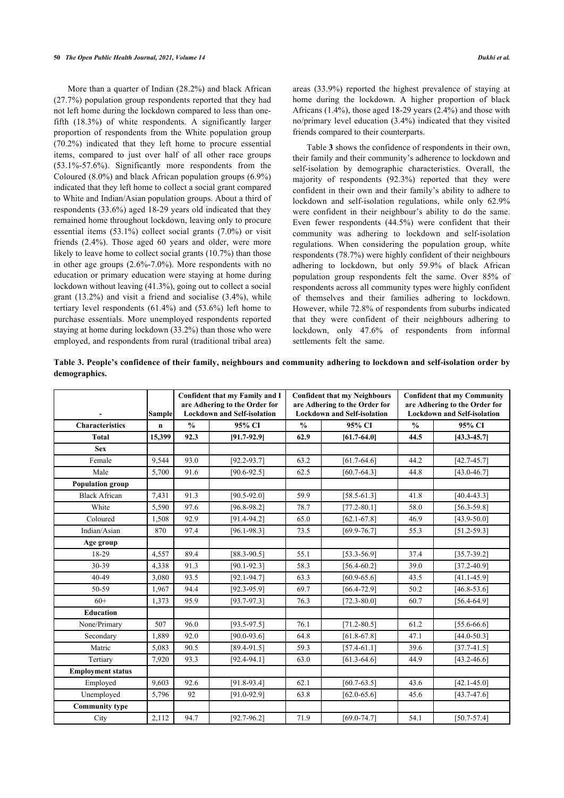More than a quarter of Indian (28.2%) and black African (27.7%) population group respondents reported that they had not left home during the lockdown compared to less than onefifth (18.3%) of white respondents. A significantly larger proportion of respondents from the White population group (70.2%) indicated that they left home to procure essential items, compared to just over half of all other race groups (53.1%-57.6%). Significantly more respondents from the Coloured (8.0%) and black African population groups (6.9%) indicated that they left home to collect a social grant compared to White and Indian/Asian population groups. About a third of respondents (33.6%) aged 18-29 years old indicated that they remained home throughout lockdown, leaving only to procure essential items (53.1%) collect social grants (7.0%) or visit friends (2.4%). Those aged 60 years and older, were more likely to leave home to collect social grants (10.7%) than those in other age groups (2.6%-7.0%). More respondents with no education or primary education were staying at home during lockdown without leaving (41.3%), going out to collect a social grant (13.2%) and visit a friend and socialise (3.4%), while tertiary level respondents (61.4%) and (53.6%) left home to purchase essentials. More unemployed respondents reported staying at home during lockdown (33.2%) than those who were employed, and respondents from rural (traditional tribal area) areas (33.9%) reported the highest prevalence of staying at home during the lockdown. A higher proportion of black Africans  $(1.4\%)$ , those aged 18-29 years  $(2.4\%)$  and those with no/primary level education (3.4%) indicated that they visited friends compared to their counterparts.

Table **[3](#page-5-0)** shows the confidence of respondents in their own, their family and their community's adherence to lockdown and self-isolation by demographic characteristics. Overall, the majority of respondents (92.3%) reported that they were confident in their own and their family's ability to adhere to lockdown and self-isolation regulations, while only 62.9% were confident in their neighbour's ability to do the same. Even fewer respondents (44.5%) were confident that their community was adhering to lockdown and self-isolation regulations. When considering the population group, white respondents (78.7%) were highly confident of their neighbours adhering to lockdown, but only 59.9% of black African population group respondents felt the same. Over 85% of respondents across all community types were highly confident of themselves and their families adhering to lockdown. However, while 72.8% of respondents from suburbs indicated that they were confident of their neighbours adhering to lockdown, only 47.6% of respondents from informal settlements felt the same.

<span id="page-5-0"></span>**Table 3. People's confidence of their family, neighbours and community adhering to lockdown and self-isolation order by demographics.**

|                          | <b>Sample</b> | Confident that my Family and I<br>are Adhering to the Order for<br><b>Lockdown and Self-isolation</b> |                 |               | <b>Confident that my Neighbours</b><br>are Adhering to the Order for<br><b>Lockdown and Self-isolation</b> | <b>Confident that my Community</b><br>are Adhering to the Order for<br><b>Lockdown and Self-isolation</b> |                 |
|--------------------------|---------------|-------------------------------------------------------------------------------------------------------|-----------------|---------------|------------------------------------------------------------------------------------------------------------|-----------------------------------------------------------------------------------------------------------|-----------------|
| <b>Characteristics</b>   | $\mathbf n$   | $\frac{0}{0}$                                                                                         | 95% CI          | $\frac{0}{0}$ | 95% CI                                                                                                     | $\frac{0}{0}$                                                                                             | 95% CI          |
| <b>Total</b>             | 15,399        | 92.3                                                                                                  | $[91.7-92.9]$   | 62.9          | $[61.7 - 64.0]$                                                                                            | 44.5                                                                                                      | $[43.3 - 45.7]$ |
| <b>Sex</b>               |               |                                                                                                       |                 |               |                                                                                                            |                                                                                                           |                 |
| Female                   | 9,544         | 93.0                                                                                                  | $[92.2 - 93.7]$ | 63.2          | $[61.7 - 64.6]$                                                                                            | 44.2                                                                                                      | $[42.7 - 45.7]$ |
| Male                     | 5,700         | 91.6                                                                                                  | $[90.6 - 92.5]$ | 62.5          | $[60.7 - 64.3]$                                                                                            | 44.8                                                                                                      | $[43.0 - 46.7]$ |
| <b>Population group</b>  |               |                                                                                                       |                 |               |                                                                                                            |                                                                                                           |                 |
| <b>Black African</b>     | 7,431         | 91.3                                                                                                  | $[90.5 - 92.0]$ | 59.9          | $[58.5-61.3]$                                                                                              | 41.8                                                                                                      | $[40.4 - 43.3]$ |
| White                    | 5,590         | 97.6                                                                                                  | $[96.8 - 98.2]$ | 78.7          | $[77.2 - 80.1]$                                                                                            | 58.0                                                                                                      | $[56.3 - 59.8]$ |
| Coloured                 | 1,508         | 92.9                                                                                                  | $[91.4 - 94.2]$ | 65.0          | $[62.1 - 67.8]$                                                                                            | 46.9                                                                                                      | $[43.9 - 50.0]$ |
| Indian/Asian             | 870           | 97.4                                                                                                  | $[96.1 - 98.3]$ | 73.5          | $[69.9 - 76.7]$                                                                                            | 55.3                                                                                                      | $[51.2 - 59.3]$ |
| Age group                |               |                                                                                                       |                 |               |                                                                                                            |                                                                                                           |                 |
| 18-29                    | 4,557         | 89.4                                                                                                  | $[88.3 - 90.5]$ | 55.1          | $[53.3 - 56.9]$                                                                                            | 37.4                                                                                                      | $[35.7 - 39.2]$ |
| 30-39                    | 4,338         | 91.3                                                                                                  | $[90.1 - 92.3]$ | 58.3          | $[56.4 - 60.2]$                                                                                            | 39.0                                                                                                      | $[37.2 - 40.9]$ |
| $40 - 49$                | 3,080         | 93.5                                                                                                  | $[92.1 - 94.7]$ | 63.3          | $[60.9 - 65.6]$                                                                                            | 43.5                                                                                                      | $[41.1 - 45.9]$ |
| 50-59                    | 1,967         | 94.4                                                                                                  | $[92.3 - 95.9]$ | 69.7          | $[66.4 - 72.9]$                                                                                            | 50.2                                                                                                      | $[46.8 - 53.6]$ |
| $60+$                    | 1,373         | 95.9                                                                                                  | $[93.7 - 97.3]$ | 76.3          | $[72.3 - 80.0]$                                                                                            | 60.7                                                                                                      | $[56.4-64.9]$   |
| <b>Education</b>         |               |                                                                                                       |                 |               |                                                                                                            |                                                                                                           |                 |
| None/Primary             | 507           | 96.0                                                                                                  | $[93.5 - 97.5]$ | 76.1          | $[71.2 - 80.5]$                                                                                            | 61.2                                                                                                      | $[55.6 - 66.6]$ |
| Secondary                | 1,889         | 92.0                                                                                                  | $[90.0 - 93.6]$ | 64.8          | $[61.8 - 67.8]$                                                                                            | 47.1                                                                                                      | $[44.0 - 50.3]$ |
| Matric                   | 5,083         | 90.5                                                                                                  | $[89.4 - 91.5]$ | 59.3          | $[57.4 - 61.1]$                                                                                            | 39.6                                                                                                      | $[37.7 - 41.5]$ |
| Tertiary                 | 7,920         | 93.3                                                                                                  | $[92.4 - 94.1]$ | 63.0          | $[61.3 - 64.6]$                                                                                            | 44.9                                                                                                      | $[43.2 - 46.6]$ |
| <b>Employment status</b> |               |                                                                                                       |                 |               |                                                                                                            |                                                                                                           |                 |
| Employed                 | 9,603         | 92.6                                                                                                  | $[91.8-93.4]$   | 62.1          | $[60.7 - 63.5]$                                                                                            | 43.6                                                                                                      | $[42.1 - 45.0]$ |
| Unemployed               | 5,796         | 92                                                                                                    | $[91.0 - 92.9]$ | 63.8          | $[62.0 - 65.6]$                                                                                            | 45.6                                                                                                      | $[43.7 - 47.6]$ |
| <b>Community type</b>    |               |                                                                                                       |                 |               |                                                                                                            |                                                                                                           |                 |
| City                     | 2,112         | 94.7                                                                                                  | $[92.7 - 96.2]$ | 71.9          | $[69.0 - 74.7]$                                                                                            | 54.1                                                                                                      | $[50.7 - 57.4]$ |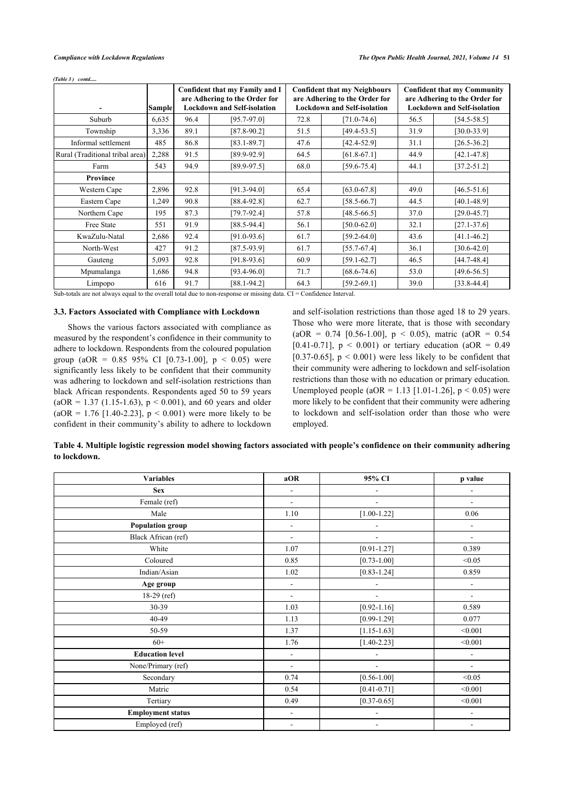*(Table 3) contd.....* 

|                                 | <b>Sample</b> | Confident that my Family and I<br>are Adhering to the Order for<br><b>Lockdown and Self-isolation</b> |                 | <b>Confident that my Neighbours</b><br>are Adhering to the Order for<br><b>Lockdown and Self-isolation</b> |                 |      | <b>Confident that my Community</b><br>are Adhering to the Order for<br><b>Lockdown and Self-isolation</b> |  |
|---------------------------------|---------------|-------------------------------------------------------------------------------------------------------|-----------------|------------------------------------------------------------------------------------------------------------|-----------------|------|-----------------------------------------------------------------------------------------------------------|--|
| Suburb                          | 6,635         | 96.4                                                                                                  | $[95.7 - 97.0]$ | 72.8                                                                                                       | $[71.0 - 74.6]$ | 56.5 | $[54.5 - 58.5]$                                                                                           |  |
| Township                        | 3,336         | 89.1                                                                                                  | $[87.8 - 90.2]$ | 51.5                                                                                                       | $[49.4 - 53.5]$ | 31.9 | $[30.0 - 33.9]$                                                                                           |  |
| Informal settlement             | 485           | 86.8                                                                                                  | $[83.1 - 89.7]$ | 47.6                                                                                                       | $[42.4 - 52.9]$ | 31.1 | $[26.5 - 36.2]$                                                                                           |  |
| Rural (Traditional tribal area) | 2,288         | 91.5                                                                                                  | $[89.9 - 92.9]$ | 64.5                                                                                                       | $[61.8 - 67.1]$ | 44.9 | $[42.1 - 47.8]$                                                                                           |  |
| Farm                            | 543           | 94.9                                                                                                  | $[89.9 - 97.5]$ | 68.0                                                                                                       | $[59.6 - 75.4]$ | 44.1 | $[37.2 - 51.2]$                                                                                           |  |
| Province                        |               |                                                                                                       |                 |                                                                                                            |                 |      |                                                                                                           |  |
| Western Cape                    | 2,896         | 92.8                                                                                                  | $[91.3 - 94.0]$ | 65.4                                                                                                       | $[63.0 - 67.8]$ | 49.0 | $[46.5 - 51.6]$                                                                                           |  |
| Eastern Cape                    | 1,249         | 90.8                                                                                                  | $[88.4 - 92.8]$ | 62.7                                                                                                       | $[58.5 - 66.7]$ | 44.5 | $[40.1 - 48.9]$                                                                                           |  |
| Northern Cape                   | 195           | 87.3                                                                                                  | $[79.7 - 92.4]$ | 57.8                                                                                                       | $[48.5 - 66.5]$ | 37.0 | $[29.0 - 45.7]$                                                                                           |  |
| Free State                      | 551           | 91.9                                                                                                  | $[88.5 - 94.4]$ | 56.1                                                                                                       | $[50.0 - 62.0]$ | 32.1 | $[27.1 - 37.6]$                                                                                           |  |
| KwaZulu-Natal                   | 2,686         | 92.4                                                                                                  | $[91.0 - 93.6]$ | 61.7                                                                                                       | $[59.2 - 64.0]$ | 43.6 | $[41.1 - 46.2]$                                                                                           |  |
| North-West                      | 427           | 91.2                                                                                                  | $[87.5-93.9]$   | 61.7                                                                                                       | $[55.7 - 67.4]$ | 36.1 | $[30.6 - 42.0]$                                                                                           |  |
| Gauteng                         | 5,093         | 92.8                                                                                                  | $[91.8-93.6]$   | 60.9                                                                                                       | $[59.1 - 62.7]$ | 46.5 | $[44.7 - 48.4]$                                                                                           |  |
| Mpumalanga                      | 1,686         | 94.8                                                                                                  | $[93.4 - 96.0]$ | 71.7                                                                                                       | $[68.6 - 74.6]$ | 53.0 | $[49.6 - 56.5]$                                                                                           |  |
| Limpopo                         | 616           | 91.7                                                                                                  | $[88.1 - 94.2]$ | 64.3                                                                                                       | $[59.2 - 69.1]$ | 39.0 | $[33.8 - 44.4]$                                                                                           |  |

Sub-totals are not always equal to the overall total due to non-response or missing data. CI = Confidence Interval.

# **3.3. Factors Associated with Compliance with Lockdown**

Shows the various factors associated with compliance as measured by the respondent's confidence in their community to adhere to lockdown. Respondents from the coloured population group (aOR =  $0.85$  95% CI [0.73-1.00], p < 0.05) were significantly less likely to be confident that their community was adhering to lockdown and self-isolation restrictions than black African respondents. Respondents aged 50 to 59 years  $(aOR = 1.37 (1.15-1.63), p < 0.001)$ , and 60 years and older  $(aOR = 1.76$  [1.40-2.23],  $p < 0.001$ ) were more likely to be confident in their community's ability to adhere to lockdown and self-isolation restrictions than those aged 18 to 29 years. Those who were more literate, that is those with secondary  $(aOR = 0.74$  [0.56-1.00],  $p < 0.05$ ), matric  $(aOR = 0.54$ [0.41-0.71],  $p < 0.001$ ) or tertiary education (aOR = 0.49 [0.37-0.65],  $p < 0.001$ ) were less likely to be confident that their community were adhering to lockdown and self-isolation restrictions than those with no education or primary education. Unemployed people (aOR = 1.13 [1.01-1.26],  $p < 0.05$ ) were more likely to be confident that their community were adhering to lockdown and self-isolation order than those who were employed.

| Table 4. Multiple logistic regression model showing factors associated with people's confidence on their community adhering |  |
|-----------------------------------------------------------------------------------------------------------------------------|--|
| to lockdown.                                                                                                                |  |

| <b>Variables</b>         | aOR                      | 95% CI                   | p value                  |
|--------------------------|--------------------------|--------------------------|--------------------------|
| <b>Sex</b>               | $\frac{1}{2}$            | $\overline{\phantom{m}}$ | -                        |
| Female (ref)             | $\blacksquare$           | $\overline{\phantom{a}}$ | $\overline{\phantom{a}}$ |
| Male                     | 1.10                     | $[1.00 - 1.22]$          | 0.06                     |
| <b>Population group</b>  | $\frac{1}{2}$            | $\frac{1}{2}$            | $\overline{\phantom{a}}$ |
| Black African (ref)      | $\blacksquare$           | $\blacksquare$           | $\overline{\phantom{a}}$ |
| White                    | 1.07                     | $[0.91 - 1.27]$          | 0.389                    |
| Coloured                 | 0.85                     | $[0.73 - 1.00]$          | < 0.05                   |
| Indian/Asian             | 1.02                     | $[0.83 - 1.24]$          | 0.859                    |
| Age group                | ٠                        | $\overline{a}$           | $\overline{a}$           |
| $18-29$ (ref)            | $\overline{\phantom{a}}$ | $\blacksquare$           | $\overline{\phantom{a}}$ |
| 30-39                    | 1.03                     | $[0.92 - 1.16]$          | 0.589                    |
| 40-49                    | 1.13                     | $[0.99 - 1.29]$          | 0.077                    |
| 50-59                    | 1.37                     | $[1.15 - 1.63]$          | < 0.001                  |
| $60+$                    | 1.76                     | $[1.40 - 2.23]$          | < 0.001                  |
| <b>Education level</b>   | $\overline{\phantom{a}}$ | ٠                        | $\overline{\phantom{m}}$ |
| None/Primary (ref)       | $\blacksquare$           | $\overline{\phantom{a}}$ | $\blacksquare$           |
| Secondary                | 0.74                     | $[0.56 - 1.00]$          | < 0.05                   |
| Matric                   | 0.54                     | $[0.41 - 0.71]$          | < 0.001                  |
| Tertiary                 | 0.49                     | $[0.37 - 0.65]$          | < 0.001                  |
| <b>Employment status</b> | ٠                        | ÷.                       | $\overline{a}$           |
| Employed (ref)           | $\overline{\phantom{a}}$ | $\frac{1}{2}$            | $\overline{\phantom{a}}$ |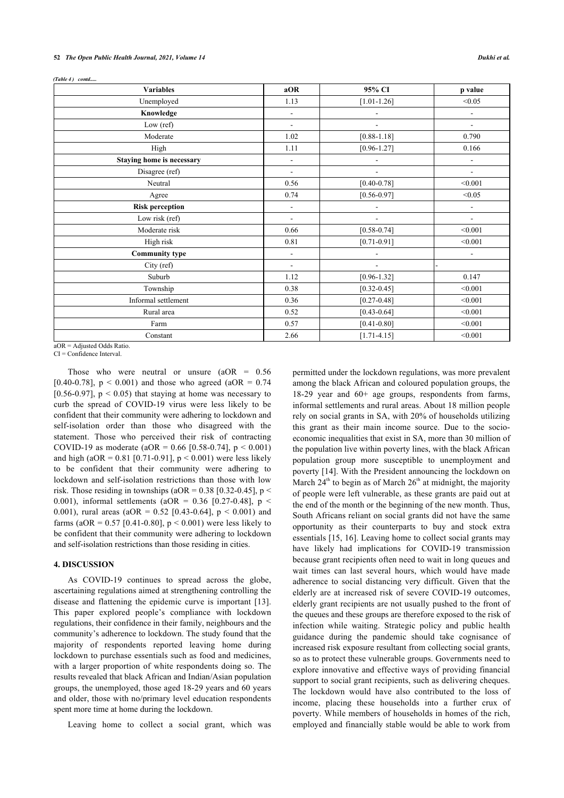*(Table 4) contd.....* 

| <b>Variables</b>             | aOR                      | 95% CI                   | p value                  |
|------------------------------|--------------------------|--------------------------|--------------------------|
| Unemployed                   | 1.13                     | $[1.01 - 1.26]$          | < 0.05                   |
| Knowledge                    | $\overline{\phantom{a}}$ | $\overline{\phantom{a}}$ | $\overline{a}$           |
| Low $(ref)$                  | $\blacksquare$           | $\blacksquare$           | $\blacksquare$           |
| Moderate                     | 1.02                     | $[0.88 - 1.18]$          | 0.790                    |
| High                         | 1.11                     | $[0.96 - 1.27]$          | 0.166                    |
| Staying home is necessary    | $\overline{\phantom{a}}$ | $\overline{\phantom{0}}$ | $\overline{a}$           |
| Disagree (ref)               | $\blacksquare$           | $\overline{\phantom{m}}$ | $\blacksquare$           |
| Neutral                      | 0.56                     | $[0.40 - 0.78]$          | < 0.001                  |
| Agree                        | 0.74                     | $[0.56 - 0.97]$          | < 0.05                   |
| <b>Risk perception</b>       | $\overline{\phantom{a}}$ | $\overline{\phantom{0}}$ | $\overline{\phantom{a}}$ |
| Low risk (ref)               | ÷.                       | $\overline{\phantom{0}}$ | $\blacksquare$           |
| Moderate risk                | 0.66                     | $[0.58 - 0.74]$          | < 0.001                  |
| High risk                    | 0.81                     | $[0.71 - 0.91]$          | < 0.001                  |
| <b>Community type</b>        | ÷,                       | ÷.                       | $\overline{a}$           |
| City (ref)                   | $\overline{\phantom{a}}$ | $\overline{\phantom{0}}$ |                          |
| Suburb                       | 1.12                     | $[0.96 - 1.32]$          | 0.147                    |
| Township                     | 0.38                     | $[0.32 - 0.45]$          | < 0.001                  |
| Informal settlement          | 0.36                     | $[0.27 - 0.48]$          | < 0.001                  |
| Rural area                   | 0.52                     | $[0.43 - 0.64]$          | < 0.001                  |
| Farm                         | 0.57                     | $[0.41 - 0.80]$          | < 0.001                  |
| Constant                     | 2.66                     | $[1.71 - 4.15]$          | < 0.001                  |
| $aOR = Adjusted Odds Ratio.$ |                          |                          |                          |

CI = Confidence Interval.

Those who were neutral or unsure  $(aOR = 0.56$ [0.40-0.78],  $p < 0.001$ ) and those who agreed (aOR = 0.74 [0.56-0.97],  $p \le 0.05$ ) that staying at home was necessary to curb the spread of COVID-19 virus were less likely to be confident that their community were adhering to lockdown and self-isolation order than those who disagreed with the statement. Those who perceived their risk of contracting COVID-19 as moderate (aOR =  $0.66$  [0.58-0.74], p < 0.001) and high (aOR =  $0.81$  [0.71-0.91], p < 0.001) were less likely to be confident that their community were adhering to lockdown and self-isolation restrictions than those with low risk. Those residing in townships (aOR =  $0.38$  [0.32-0.45], p < 0.001), informal settlements (aOR = 0.36 [0.27-0.48],  $p <$ 0.001), rural areas (aOR =  $0.52$  [0.43-0.64], p < 0.001) and farms (aOR =  $0.57$  [0.41-0.80], p < 0.001) were less likely to be confident that their community were adhering to lockdown and self-isolation restrictions than those residing in cities.

# **4. DISCUSSION**

As COVID-19 continues to spread across the globe, ascertaining regulations aimed at strengthening controlling the disease and flattening the epidemic curve is important[[13\]](#page-9-12). This paper explored people's compliance with lockdown regulations, their confidence in their family, neighbours and the community's adherence to lockdown. The study found that the majority of respondents reported leaving home during lockdown to purchase essentials such as food and medicines, with a larger proportion of white respondents doing so. The results revealed that black African and Indian/Asian population groups, the unemployed, those aged 18-29 years and 60 years and older, those with no/primary level education respondents spent more time at home during the lockdown.

Leaving home to collect a social grant, which was

permitted under the lockdown regulations, was more prevalent among the black African and coloured population groups, the 18-29 year and 60+ age groups, respondents from farms, informal settlements and rural areas. About 18 million people rely on social grants in SA, with 20% of households utilizing this grant as their main income source. Due to the socioeconomic inequalities that exist in SA, more than 30 million of the population live within poverty lines, with the black African population group more susceptible to unemployment and poverty [[14\]](#page-9-13). With the President announcing the lockdown on March  $24<sup>th</sup>$  to begin as of March  $26<sup>th</sup>$  at midnight, the majority of people were left vulnerable, as these grants are paid out at the end of the month or the beginning of the new month. Thus, South Africans reliant on social grants did not have the same opportunity as their counterparts to buy and stock extra essentials [[15](#page-9-14), [16](#page-9-15)]. Leaving home to collect social grants may have likely had implications for COVID-19 transmission because grant recipients often need to wait in long queues and wait times can last several hours, which would have made adherence to social distancing very difficult. Given that the elderly are at increased risk of severe COVID-19 outcomes, elderly grant recipients are not usually pushed to the front of the queues and these groups are therefore exposed to the risk of infection while waiting. Strategic policy and public health guidance during the pandemic should take cognisance of increased risk exposure resultant from collecting social grants, so as to protect these vulnerable groups. Governments need to explore innovative and effective ways of providing financial support to social grant recipients, such as delivering cheques. The lockdown would have also contributed to the loss of income, placing these households into a further crux of poverty. While members of households in homes of the rich, employed and financially stable would be able to work from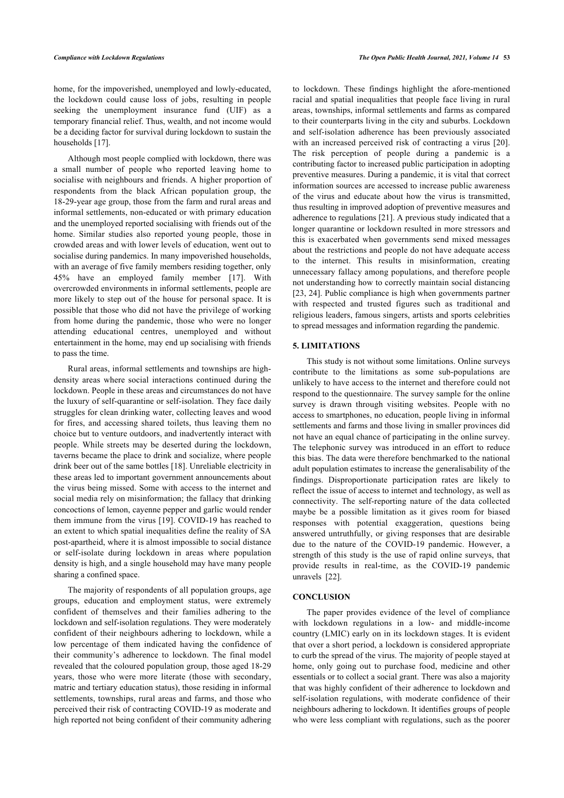home, for the impoverished, unemployed and lowly-educated, the lockdown could cause loss of jobs, resulting in people seeking the unemployment insurance fund (UIF) as a temporary financial relief. Thus, wealth, and not income would be a deciding factor for survival during lockdown to sustain the households [\[17](#page-9-16)].

Although most people complied with lockdown, there was a small number of people who reported leaving home to socialise with neighbours and friends. A higher proportion of respondents from the black African population group, the 18-29-year age group, those from the farm and rural areas and informal settlements, non-educated or with primary education and the unemployed reported socialising with friends out of the home. Similar studies also reported young people, those in crowded areas and with lower levels of education, went out to socialise during pandemics. In many impoverished households, with an average of five family members residing together, only 45% have an employed family member[[17\]](#page-9-16). With overcrowded environments in informal settlements, people are more likely to step out of the house for personal space. It is possible that those who did not have the privilege of working from home during the pandemic, those who were no longer attending educational centres, unemployed and without entertainment in the home, may end up socialising with friends to pass the time.

Rural areas, informal settlements and townships are highdensity areas where social interactions continued during the lockdown. People in these areas and circumstances do not have the luxury of self-quarantine or self-isolation. They face daily struggles for clean drinking water, collecting leaves and wood for fires, and accessing shared toilets, thus leaving them no choice but to venture outdoors, and inadvertently interact with people. While streets may be deserted during the lockdown, taverns became the place to drink and socialize, where people drink beer out of the same bottles [[18\]](#page-10-0). Unreliable electricity in these areas led to important government announcements about the virus being missed. Some with access to the internet and social media rely on misinformation; the fallacy that drinking concoctions of lemon, cayenne pepper and garlic would render them immune from the virus [[19\]](#page-10-1). COVID-19 has reached to an extent to which spatial inequalities define the reality of SA post-apartheid, where it is almost impossible to social distance or self-isolate during lockdown in areas where population density is high, and a single household may have many people sharing a confined space.

The majority of respondents of all population groups, age groups, education and employment status, were extremely confident of themselves and their families adhering to the lockdown and self-isolation regulations. They were moderately confident of their neighbours adhering to lockdown, while a low percentage of them indicated having the confidence of their community's adherence to lockdown. The final model revealed that the coloured population group, those aged 18-29 years, those who were more literate (those with secondary, matric and tertiary education status), those residing in informal settlements, townships, rural areas and farms, and those who perceived their risk of contracting COVID-19 as moderate and high reported not being confident of their community adhering

to lockdown. These findings highlight the afore-mentioned racial and spatial inequalities that people face living in rural areas, townships, informal settlements and farms as compared to their counterparts living in the city and suburbs. Lockdown and self-isolation adherence has been previously associated with an increased perceived risk of contracting a virus [[20](#page-10-2)]. The risk perception of people during a pandemic is a contributing factor to increased public participation in adopting preventive measures. During a pandemic, it is vital that correct information sources are accessed to increase public awareness of the virus and educate about how the virus is transmitted, thus resulting in improved adoption of preventive measures and adherence to regulations [[21\]](#page-10-3). A previous study indicated that a longer quarantine or lockdown resulted in more stressors and this is exacerbated when governments send mixed messages about the restrictions and people do not have adequate access to the internet. This results in misinformation, creating unnecessary fallacy among populations, and therefore people not understanding how to correctly maintain social distancing [[23](#page-10-4), [24](#page--1-0)]. Public compliance is high when governments partner with respected and trusted figures such as traditional and religious leaders, famous singers, artists and sports celebrities to spread messages and information regarding the pandemic.

# **5. LIMITATIONS**

This study is not without some limitations. Online surveys contribute to the limitations as some sub-populations are unlikely to have access to the internet and therefore could not respond to the questionnaire. The survey sample for the online survey is drawn through visiting websites. People with no access to smartphones, no education, people living in informal settlements and farms and those living in smaller provinces did not have an equal chance of participating in the online survey. The telephonic survey was introduced in an effort to reduce this bias. The data were therefore benchmarked to the national adult population estimates to increase the generalisability of the findings. Disproportionate participation rates are likely to reflect the issue of access to internet and technology, as well as connectivity. The self-reporting nature of the data collected maybe be a possible limitation as it gives room for biased responses with potential exaggeration, questions being answered untruthfully, or giving responses that are desirable due to the nature of the COVID-19 pandemic. However, a strength of this study is the use of rapid online surveys, that provide results in real-time, as the COVID-19 pandemic unravels[[22\]](#page-10-5).

# **CONCLUSION**

The paper provides evidence of the level of compliance with lockdown regulations in a low- and middle-income country (LMIC) early on in its lockdown stages. It is evident that over a short period, a lockdown is considered appropriate to curb the spread of the virus. The majority of people stayed at home, only going out to purchase food, medicine and other essentials or to collect a social grant. There was also a majority that was highly confident of their adherence to lockdown and self-isolation regulations, with moderate confidence of their neighbours adhering to lockdown. It identifies groups of people who were less compliant with regulations, such as the poorer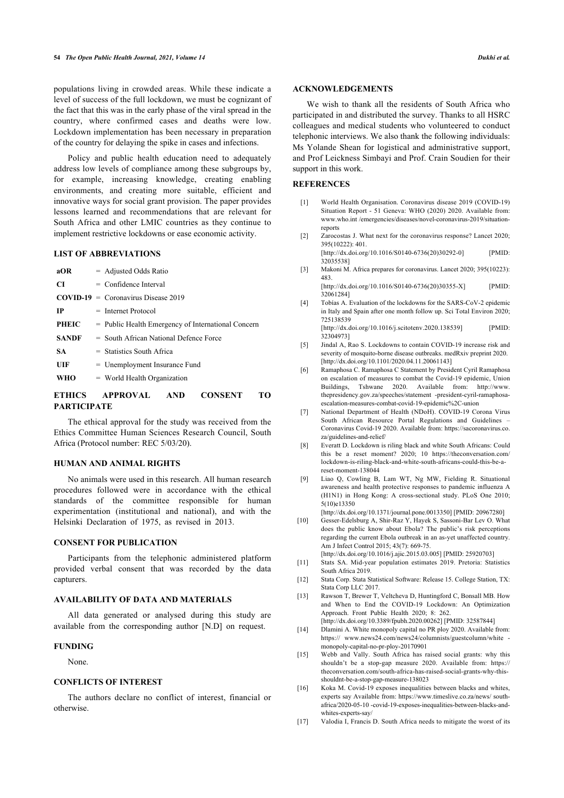populations living in crowded areas. While these indicate a level of success of the full lockdown, we must be cognizant of the fact that this was in the early phase of the viral spread in the country, where confirmed cases and deaths were low. Lockdown implementation has been necessary in preparation of the country for delaying the spike in cases and infections.

<span id="page-9-0"></span>Policy and public health education need to adequately address low levels of compliance among these subgroups by, for example, increasing knowledge, creating enabling environments, and creating more suitable, efficient and innovative ways for social grant provision. The paper provides lessons learned and recommendations that are relevant for South Africa and other LMIC countries as they continue to implement restrictive lockdowns or ease economic activity.

# <span id="page-9-1"></span>**LIST OF ABBREVIATIONS**

<span id="page-9-3"></span><span id="page-9-2"></span>

| aOR          | $=$ Adjusted Odds Ratio                              |
|--------------|------------------------------------------------------|
| CI           | $=$ Confidence Interval                              |
|              | $COVID-19 = Conmarirus Disease 2019$                 |
| <b>IP</b>    | $=$ Internet Protocol                                |
| PHEIC        | $=$ Public Health Emergency of International Concern |
| <b>SANDF</b> | $=$ South African National Defence Force             |
| SA.          | $=$ Statistics South Africa                          |
| UIF          | $=$ Unemployment Insurance Fund                      |
| WHO          | $=$ World Health Organization                        |
|              |                                                      |

# <span id="page-9-5"></span><span id="page-9-4"></span>**ETHICS APPROVAL AND CONSENT TO PARTICIPATE**

<span id="page-9-6"></span>The ethical approval for the study was received from the Ethics Committee Human Sciences Research Council, South Africa (Protocol number: REC 5/03/20).

# <span id="page-9-7"></span>**HUMAN AND ANIMAL RIGHTS**

<span id="page-9-8"></span>No animals were used in this research. All human research procedures followed were in accordance with the ethical standards of the committee responsible for human experimentation (institutional and national), and with the Helsinki Declaration of 1975, as revised in 2013.

#### <span id="page-9-9"></span>**CONSENT FOR PUBLICATION**

<span id="page-9-11"></span><span id="page-9-10"></span>Participants from the telephonic administered platform provided verbal consent that was recorded by the data capturers.

# <span id="page-9-12"></span>**AVAILABILITY OF DATA AND MATERIALS**

<span id="page-9-13"></span>All data generated or analysed during this study are available from the corresponding author [N.D] on request.

#### <span id="page-9-14"></span>**FUNDING**

None.

# <span id="page-9-15"></span>**CONFLICTS OF INTEREST**

<span id="page-9-16"></span>The authors declare no conflict of interest, financial or otherwise.

We wish to thank all the residents of South Africa who participated in and distributed the survey. Thanks to all HSRC colleagues and medical students who volunteered to conduct telephonic interviews. We also thank the following individuals: Ms Yolande Shean for logistical and administrative support, and Prof Leickness Simbayi and Prof. Crain Soudien for their support in this work.

### **REFERENCES**

- [1] World Health Organisation. Coronavirus disease 2019 (COVID-19) Situation Report - 51 Geneva: WHO (2020) 2020. Available from: [www.who.int /emergencies/diseases/novel-coronavirus-2019/situation](http://www.who.int/emergencies/diseases/novel-coronavirus-2019/situation-reports)[reports](http://www.who.int/emergencies/diseases/novel-coronavirus-2019/situation-reports)
- [2] Zarocostas J. What next for the coronavirus response? Lancet 2020; 395(10222): 401.

[\[http://dx.doi.org/10.1016/S0140-6736\(20\)30292-0](http://dx.doi.org/10.1016/S0140-6736(20)30292-0)] [PMID: [32035538\]](http://www.ncbi.nlm.nih.gov/pubmed/32035538)

[3] Makoni M. Africa prepares for coronavirus. Lancet 2020; 395(10223): 483.

[\[http://dx.doi.org/10.1016/S0140-6736\(20\)30355-X](http://dx.doi.org/10.1016/S0140-6736(20)30355-X)] [PMID: [32061284\]](http://www.ncbi.nlm.nih.gov/pubmed/32061284)

[4] Tobías A. Evaluation of the lockdowns for the SARS-CoV-2 epidemic in Italy and Spain after one month follow up. Sci Total Environ 2020; 725138539 [\[http://dx.doi.org/10.1016/j.scitotenv.2020.138539\]](http://dx.doi.org/10.1016/j.scitotenv.2020.138539) [PMID:

[32304973\]](http://www.ncbi.nlm.nih.gov/pubmed/32304973)

- [5] Jindal A, Rao S. Lockdowns to contain COVID-19 increase risk and severity of mosquito-borne disease outbreaks. medRxiv preprint 2020. [\[http://dx.doi.org/10.1101/2020.04.11.20061143\]](http://dx.doi.org/10.1101/2020.04.11.20061143)
- [6] Ramaphosa C. Ramaphosa C Statement by President Cyril Ramaphosa on escalation of measures to combat the Covid-19 epidemic, Union Buildings, Tshwane 2020. Available from: [http://www.](http://www.thepresidency.gov.za/speeches/statement-president-cyril-ramaphosa-escalation-measures-combat-covid-19-epidemic%2C-union) [thepresidency.gov.za/speeches/statement -president-cyril-ramaphosa](http://www.thepresidency.gov.za/speeches/statement-president-cyril-ramaphosa-escalation-measures-combat-covid-19-epidemic%2C-union)[escalation-measures-combat-covid-19-epidemic%2C-union](http://www.thepresidency.gov.za/speeches/statement-president-cyril-ramaphosa-escalation-measures-combat-covid-19-epidemic%2C-union)
- [7] National Department of Health (NDoH). COVID-19 Corona Virus South African Resource Portal Regulations and Guidelines Coronavirus Covid-19 2020. Available from: [https://sacoronavirus.co.](https://sacoronavirus.co.za/guidelines-and-relief/) [za/guidelines-and-relief/](https://sacoronavirus.co.za/guidelines-and-relief/)
- [8] Everatt D. Lockdown is riling black and white South Africans: Could this be a reset moment? 2020; 10 [https://theconversation.com/](https://theconversation.com/lockdown-is-riling-black-and-white-south-africans-could-this-be-a-reset-moment-138044) [lockdown-is-riling-black-and-white-south-africans-could-this-be-a](https://theconversation.com/lockdown-is-riling-black-and-white-south-africans-could-this-be-a-reset-moment-138044)[reset-moment-138044](https://theconversation.com/lockdown-is-riling-black-and-white-south-africans-could-this-be-a-reset-moment-138044)
- [9] Liao Q, Cowling B, Lam WT, Ng MW, Fielding R. Situational awareness and health protective responses to pandemic influenza A (H1N1) in Hong Kong: A cross-sectional study. PLoS One 2010; 5(10)e13350

[\[http://dx.doi.org/10.1371/journal.pone.0013350\]](http://dx.doi.org/10.1371/journal.pone.0013350) [PMID: [20967280\]](http://www.ncbi.nlm.nih.gov/pubmed/20967280)

- [10] Gesser-Edelsburg A, Shir-Raz Y, Hayek S, Sassoni-Bar Lev O. What does the public know about Ebola? The public's risk perceptions regarding the current Ebola outbreak in an as-yet unaffected country. Am J Infect Control 2015; 43(7): 669-75.
	- [\[http://dx.doi.org/10.1016/j.ajic.2015.03.005](http://dx.doi.org/10.1016/j.ajic.2015.03.005)] [PMID: [25920703\]](http://www.ncbi.nlm.nih.gov/pubmed/25920703)
- [11] Stats SA. Mid-year population estimates 2019. Pretoria: Statistics South Africa 2019.
- [12] Stata Corp. Stata Statistical Software: Release 15. College Station, TX: Stata Corp LLC 2017.
- [13] Rawson T, Brewer T, Veltcheva D, Huntingford C, Bonsall MB. How and When to End the COVID-19 Lockdown: An Optimization Approach. Front Public Health 2020; 8: 262. [\[http://dx.doi.org/10.3389/fpubh.2020.00262\]](http://dx.doi.org/10.3389/fpubh.2020.00262) [PMID: [32587844](http://www.ncbi.nlm.nih.gov/pubmed/32587844)]
- [14] Dlamini A. White monopoly capital no PR ploy 2020. Available from: https:// www.news24.com/news24/columnists/guestcolumn/white [monopoly-capital-no-pr-ploy-20170901](https://www.news24.com/news24/columnists/guestcolumn/white-monopoly-capital-no-pr-ploy-20170901)
- [15] Webb and Vally. South Africa has raised social grants: why this shouldn't be a stop-gap measure 2020. Available from: [https://](https://theconversation.com/south-africa-has-raised-social-grants-why-this-shouldnt-be-a-stop-gap-measure-138023) [theconversation.com/south-africa-has-raised-social-grants-why-this](https://theconversation.com/south-africa-has-raised-social-grants-why-this-shouldnt-be-a-stop-gap-measure-138023)[shouldnt-be-a-stop-gap-measure-138023](https://theconversation.com/south-africa-has-raised-social-grants-why-this-shouldnt-be-a-stop-gap-measure-138023)
- [16] Koka M. Covid-19 exposes inequalities between blacks and whites, experts say Available from: [https://www.timeslive.co.za/news/ south](https://www.timeslive.co.za/news/south-africa/2020-05-10-covid-19-exposes-inequalities-between-blacks-and-whites-experts-say/)[africa/2020-05-10 -covid-19-exposes-inequalities-between-blacks-and](https://www.timeslive.co.za/news/south-africa/2020-05-10-covid-19-exposes-inequalities-between-blacks-and-whites-experts-say/)[whites-experts-say/](https://www.timeslive.co.za/news/south-africa/2020-05-10-covid-19-exposes-inequalities-between-blacks-and-whites-experts-say/)
- [17] Valodia I, Francis D. South Africa needs to mitigate the worst of its